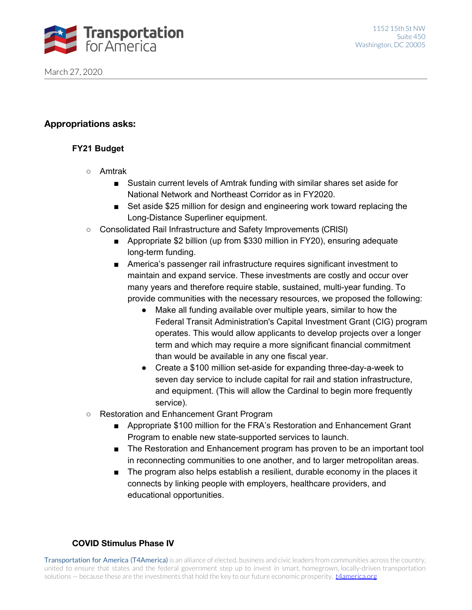

## **Appropriations asks:**

## **FY21 Budget**

- Amtrak
	- Sustain current levels of Amtrak funding with similar shares set aside for National Network and Northeast Corridor as in FY2020.
	- Set aside \$25 million for design and engineering work toward replacing the Long-Distance Superliner equipment.
- Consolidated Rail Infrastructure and Safety Improvements (CRISI)
	- Appropriate \$2 billion (up from \$330 million in FY20), ensuring adequate long-term funding.
	- America's passenger rail infrastructure requires significant investment to maintain and expand service. These investments are costly and occur over many years and therefore require stable, sustained, multi-year funding. To provide communities with the necessary resources, we proposed the following:
		- Make all funding available over multiple years, similar to how the Federal Transit Administration's Capital Investment Grant (CIG) program operates. This would allow applicants to develop projects over a longer term and which may require a more significant financial commitment than would be available in any one fiscal year.
		- Create a \$100 million set-aside for expanding three-day-a-week to seven day service to include capital for rail and station infrastructure, and equipment. (This will allow the Cardinal to begin more frequently service).
- Restoration and Enhancement Grant Program
	- Appropriate \$100 million for the FRA's Restoration and Enhancement Grant Program to enable new state-supported services to launch.
	- The Restoration and Enhancement program has proven to be an important tool in reconnecting communities to one another, and to larger metropolitan areas.
	- The program also helps establish a resilient, durable economy in the places it connects by linking people with employers, healthcare providers, and educational opportunities.

## **COVID Stimulus Phase IV**

Transportation for America (T4America) is an alliance of elected, business and civic leaders from communities across the country, united to ensure that states and the federal government step up to invest in smart, homegrown, locally-driven transportation solutions – because these are the investments that hold the key to our future economic prosperity. *tAamerica.org*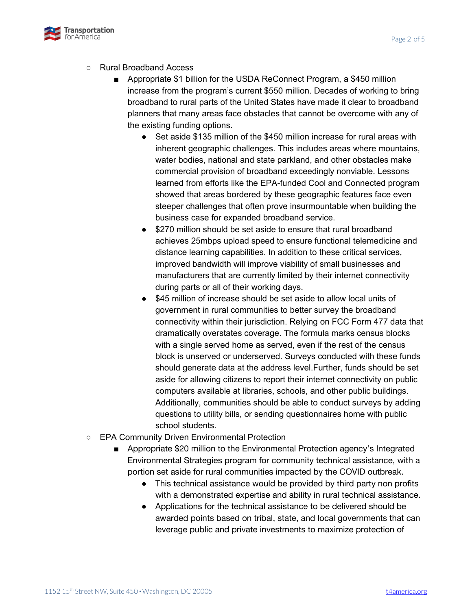

#### ○ Rural Broadband Access

- Appropriate \$1 billion for the USDA ReConnect Program, a \$450 million increase from the program's current \$550 million. Decades of working to bring broadband to rural parts of the United States have made it clear to broadband planners that many areas face obstacles that cannot be overcome with any of the existing funding options.
	- Set aside \$135 million of the \$450 million increase for rural areas with inherent geographic challenges. This includes areas where mountains, water bodies, national and state parkland, and other obstacles make commercial provision of broadband exceedingly nonviable. Lessons learned from efforts like the EPA-funded Cool and Connected program showed that areas bordered by these geographic features face even steeper challenges that often prove insurmountable when building the business case for expanded broadband service.
	- \$270 million should be set aside to ensure that rural broadband achieves 25mbps upload speed to ensure functional telemedicine and distance learning capabilities. In addition to these critical services, improved bandwidth will improve viability of small businesses and manufacturers that are currently limited by their internet connectivity during parts or all of their working days.
	- \$45 million of increase should be set aside to allow local units of government in rural communities to better survey the broadband connectivity within their jurisdiction. Relying on FCC Form 477 data that dramatically overstates coverage. The formula marks census blocks with a single served home as served, even if the rest of the census block is unserved or underserved. Surveys conducted with these funds should generate data at the address level.Further, funds should be set aside for allowing citizens to report their internet connectivity on public computers available at libraries, schools, and other public buildings. Additionally, communities should be able to conduct surveys by adding questions to utility bills, or sending questionnaires home with public school students.
- EPA Community Driven Environmental Protection
	- Appropriate \$20 million to the Environmental Protection agency's Integrated Environmental Strategies program for community technical assistance, with a portion set aside for rural communities impacted by the COVID outbreak.
		- This technical assistance would be provided by third party non profits with a demonstrated expertise and ability in rural technical assistance.
		- Applications for the technical assistance to be delivered should be awarded points based on tribal, state, and local governments that can leverage public and private investments to maximize protection of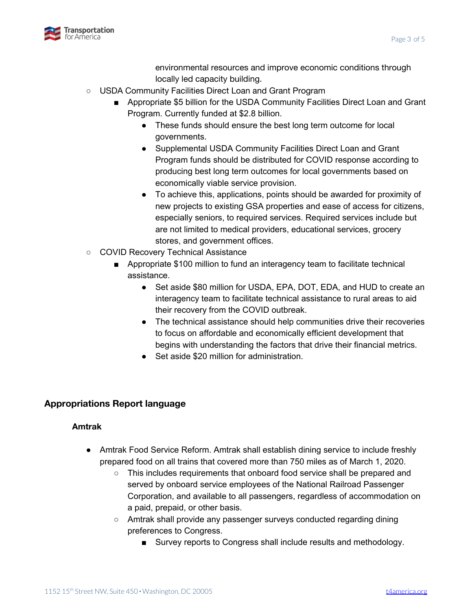



environmental resources and improve economic conditions through locally led capacity building.

- USDA Community Facilities Direct Loan and Grant Program
	- Appropriate \$5 billion for the USDA Community Facilities Direct Loan and Grant Program. Currently funded at \$2.8 billion.
		- These funds should ensure the best long term outcome for local governments.
		- Supplemental USDA Community Facilities Direct Loan and Grant Program funds should be distributed for COVID response according to producing best long term outcomes for local governments based on economically viable service provision.
		- To achieve this, applications, points should be awarded for proximity of new projects to existing GSA properties and ease of access for citizens, especially seniors, to required services. Required services include but are not limited to medical providers, educational services, grocery stores, and government offices.
- COVID Recovery Technical Assistance
	- Appropriate \$100 million to fund an interagency team to facilitate technical assistance.
		- Set aside \$80 million for USDA, EPA, DOT, EDA, and HUD to create an interagency team to facilitate technical assistance to rural areas to aid their recovery from the COVID outbreak.
		- The technical assistance should help communities drive their recoveries to focus on affordable and economically efficient development that begins with understanding the factors that drive their financial metrics.
		- Set aside \$20 million for administration.

# **Appropriations Report language**

#### **Amtrak**

- Amtrak Food Service Reform. Amtrak shall establish dining service to include freshly prepared food on all trains that covered more than 750 miles as of March 1, 2020.
	- This includes requirements that onboard food service shall be prepared and served by onboard service employees of the National Railroad Passenger Corporation, and available to all passengers, regardless of accommodation on a paid, prepaid, or other basis.
	- Amtrak shall provide any passenger surveys conducted regarding dining preferences to Congress.
		- Survey reports to Congress shall include results and methodology.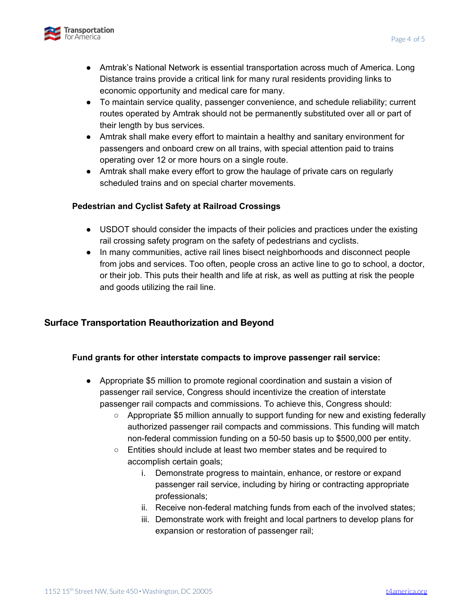

- Amtrak's National Network is essential transportation across much of America. Long Distance trains provide a critical link for many rural residents providing links to economic opportunity and medical care for many.
- To maintain service quality, passenger convenience, and schedule reliability; current routes operated by Amtrak should not be permanently substituted over all or part of their length by bus services.
- Amtrak shall make every effort to maintain a healthy and sanitary environment for passengers and onboard crew on all trains, with special attention paid to trains operating over 12 or more hours on a single route.
- Amtrak shall make every effort to grow the haulage of private cars on regularly scheduled trains and on special charter movements.

### **Pedestrian and Cyclist Safety at Railroad Crossings**

- **●** USDOT should consider the impacts of their policies and practices under the existing rail crossing safety program on the safety of pedestrians and cyclists.
- **●** In many communities, active rail lines bisect neighborhoods and disconnect people from jobs and services. Too often, people cross an active line to go to school, a doctor, or their job. This puts their health and life at risk, as well as putting at risk the people and goods utilizing the rail line.

## **Surface Transportation Reauthorization and Beyond**

#### **Fund grants for other interstate compacts to improve passenger rail service:**

- Appropriate \$5 million to promote regional coordination and sustain a vision of passenger rail service, Congress should incentivize the creation of interstate passenger rail compacts and commissions. To achieve this, Congress should:
	- Appropriate \$5 million annually to support funding for new and existing federally authorized passenger rail compacts and commissions. This funding will match non-federal commission funding on a 50-50 basis up to \$500,000 per entity.
	- Entities should include at least two member states and be required to accomplish certain goals;
		- i. Demonstrate progress to maintain, enhance, or restore or expand passenger rail service, including by hiring or contracting appropriate professionals;
		- ii. Receive non-federal matching funds from each of the involved states;
		- iii. Demonstrate work with freight and local partners to develop plans for expansion or restoration of passenger rail;